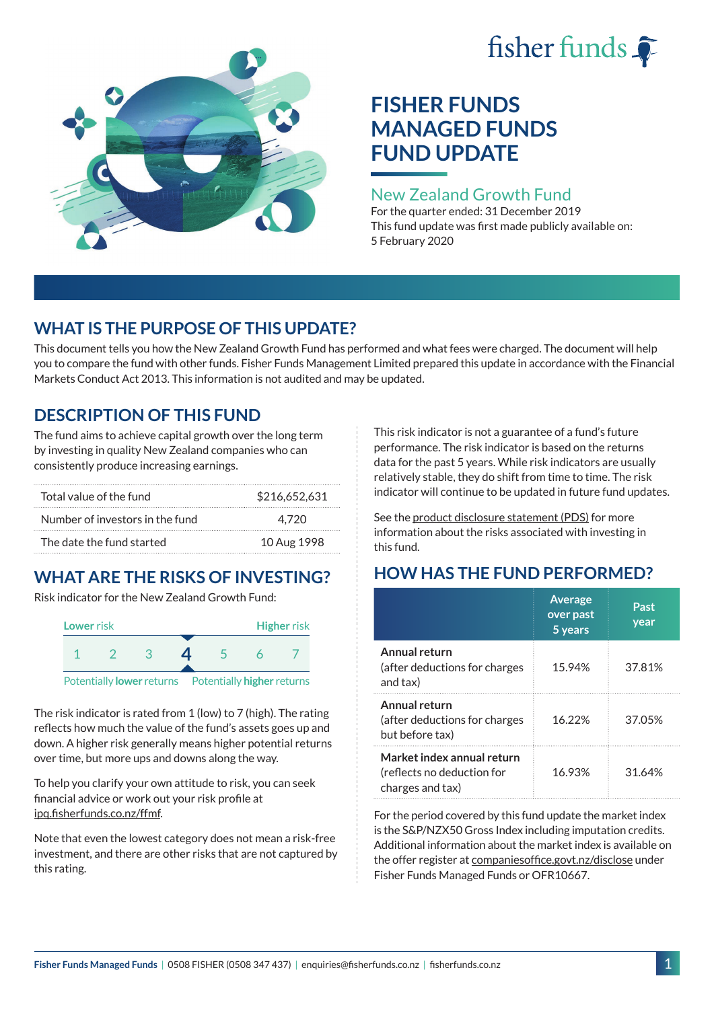# fisher funds  $\hat{\bullet}$



## **FISHER FUNDS MANAGED FUNDS FUND UPDATE**

## New Zealand Growth Fund

For the quarter ended: 31 December 2019 This fund update was first made publicly available on: 5 February 2020

## **WHAT IS THE PURPOSE OF THIS UPDATE?**

This document tells you how the New Zealand Growth Fund has performed and what fees were charged. The document will help you to compare the fund with other funds. Fisher Funds Management Limited prepared this update in accordance with the Financial Markets Conduct Act 2013. This information is not audited and may be updated.

## **DESCRIPTION OF THIS FUND**

The fund aims to achieve capital growth over the long term by investing in quality New Zealand companies who can consistently produce increasing earnings.

| Total value of the fund         | \$216,652,631 |
|---------------------------------|---------------|
| Number of investors in the fund | 4.720         |
| The date the fund started       | 10 Aug 1998   |

## **WHAT ARE THE RISKS OF INVESTING?**

Risk indicator for the New Zealand Growth Fund:



The risk indicator is rated from 1 (low) to 7 (high). The rating reflects how much the value of the fund's assets goes up and down. A higher risk generally means higher potential returns over time, but more ups and downs along the way.

To help you clarify your own attitude to risk, you can seek financial advice or work out your risk profile at [ipq.fisherfunds.co.nz/ffmf](https://ipq.fisherfunds.co.nz/ffmf).

Note that even the lowest category does not mean a risk-free investment, and there are other risks that are not captured by this rating.

This risk indicator is not a guarantee of a fund's future performance. The risk indicator is based on the returns data for the past 5 years. While risk indicators are usually relatively stable, they do shift from time to time. The risk indicator will continue to be updated in future fund updates.

See the [product disclosure statement \(PDS\)](https://fisherfunds.co.nz/assets/PDS/Fisher-Funds-Managed-Funds-PDS.pdf) for more information about the risks associated with investing in this fund.

## **HOW HAS THE FUND PERFORMED?**

|                                                                              | <b>Average</b><br>over past<br>5 years | Past<br>year |
|------------------------------------------------------------------------------|----------------------------------------|--------------|
| Annual return<br>(after deductions for charges<br>and tax)                   | 15.94%                                 | 37.81%       |
| Annual return<br>(after deductions for charges<br>but before tax)            | 16.22%                                 | 37.05%       |
| Market index annual return<br>(reflects no deduction for<br>charges and tax) | 16.93%                                 | 31.64%       |

For the period covered by this fund update the market index is the S&P/NZX50 Gross Index including imputation credits. Additional information about the market index is available on the offer register at [companiesoffice.govt.nz/disclose](http://companiesoffice.govt.nz/disclose) under Fisher Funds Managed Funds or OFR10667.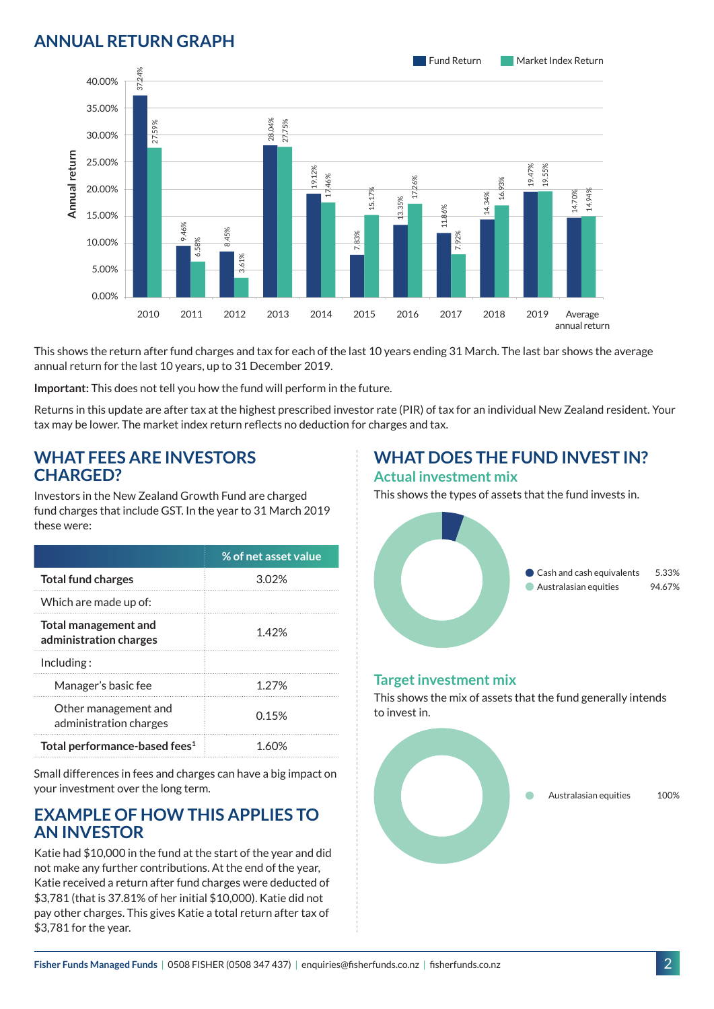## **ANNUAL RETURN GRAPH**



This shows the return after fund charges and tax for each of the last 10 years ending 31 March. The last bar shows the average annual return for the last 10 years, up to 31 December 2019.

**Important:** This does not tell you how the fund will perform in the future.

Returns in this update are after tax at the highest prescribed investor rate (PIR) of tax for an individual New Zealand resident. Your tax may be lower. The market index return reflects no deduction for charges and tax.

#### **WHAT FEES ARE INVESTORS CHARGED?**

Investors in the New Zealand Growth Fund are charged fund charges that include GST. In the year to 31 March 2019 these were:

|                                                       | % of net asset value |
|-------------------------------------------------------|----------------------|
| <b>Total fund charges</b>                             | 302%                 |
| Which are made up of:                                 |                      |
| <b>Total management and</b><br>administration charges | 1.42%                |
| Inding:                                               |                      |
| Manager's basic fee                                   | 1 27%                |
| Other management and<br>administration charges        | 0.15%                |
| Total performance-based fees <sup>1</sup>             |                      |

Small differences in fees and charges can have a big impact on your investment over the long term.

#### **EXAMPLE OF HOW THIS APPLIES TO AN INVESTOR**

Katie had \$10,000 in the fund at the start of the year and did not make any further contributions. At the end of the year, Katie received a return after fund charges were deducted of \$3,781 (that is 37.81% of her initial \$10,000). Katie did not pay other charges. This gives Katie a total return after tax of \$3,781 for the year.

#### **WHAT DOES THE FUND INVEST IN? Actual investment mix**

This shows the types of assets that the fund invests in.



#### **Target investment mix**

This shows the mix of assets that the fund generally intends to invest in.